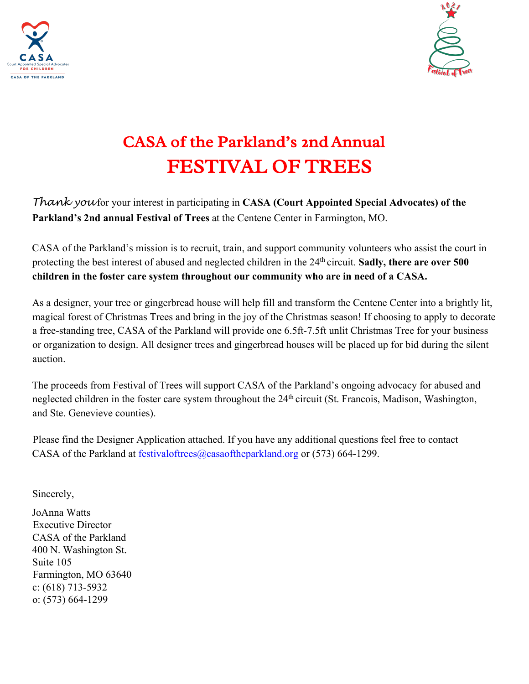



## CASA of the Parkland's 2nd Annual FESTIVAL OF TREES

*Thank you* for your interest in participating in **CASA (Court Appointed Special Advocates) of the Parkland's 2nd annual Festival of Trees** at the Centene Center in Farmington, MO.

CASA of the Parkland's mission is to recruit, train, and support community volunteers who assist the court in protecting the best interest of abused and neglected children in the 24th circuit. **Sadly, there are over 500 children in the foster care system throughout our community who are in need of a CASA.** 

As a designer, your tree or gingerbread house will help fill and transform the Centene Center into a brightly lit, magical forest of Christmas Trees and bring in the joy of the Christmas season! If choosing to apply to decorate a free-standing tree, CASA of the Parkland will provide one 6.5ft-7.5ft unlit Christmas Tree for your business or organization to design. All designer trees and gingerbread houses will be placed up for bid during the silent auction.

The proceeds from Festival of Trees will support CASA of the Parkland's ongoing advocacy for abused and neglected children in the foster care system throughout the 24<sup>th</sup> circuit (St. Francois, Madison, Washington, and Ste. Genevieve counties).

Please find the Designer Application attached. If you have any additional questions feel free to contact CASA of the Parkland at festivaloftrees@casaoftheparkland.org or (573) 664-1299.

Sincerely,

JoAnna Watts Executive Director CASA of the Parkland 400 N. Washington St. Suite 105 Farmington, MO 63640 c: (618) 713-5932 o: (573) 664-1299